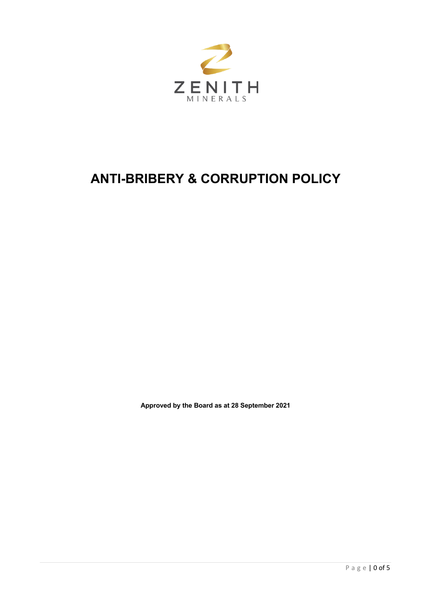

# **ANTI-BRIBERY & CORRUPTION POLICY**

**Approved by the Board as at 28 September 2021**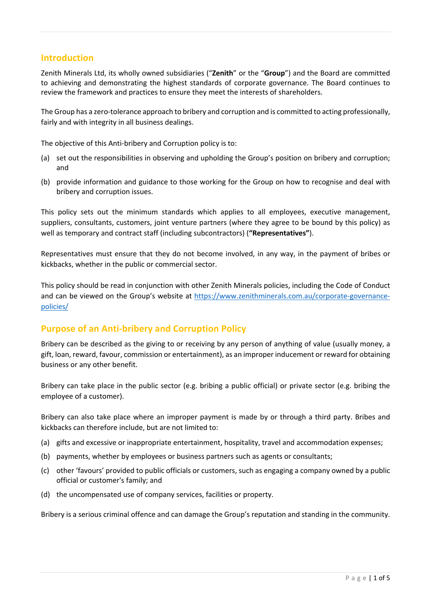## **Introduction**

Zenith Minerals Ltd, its wholly owned subsidiaries ("**Zenith**" or the "**Group**") and the Board are committed to achieving and demonstrating the highest standards of corporate governance. The Board continues to review the framework and practices to ensure they meet the interests of shareholders.

The Group has a zero-tolerance approach to bribery and corruption and is committed to acting professionally, fairly and with integrity in all business dealings.

The objective of this Anti-bribery and Corruption policy is to:

- (a) set out the responsibilities in observing and upholding the Group's position on bribery and corruption; and
- (b) provide information and guidance to those working for the Group on how to recognise and deal with bribery and corruption issues.

This policy sets out the minimum standards which applies to all employees, executive management, suppliers, consultants, customers, joint venture partners (where they agree to be bound by this policy) as well as temporary and contract staff (including subcontractors) (**"Representatives"**).

Representatives must ensure that they do not become involved, in any way, in the payment of bribes or kickbacks, whether in the public or commercial sector.

This policy should be read in conjunction with other Zenith Minerals policies, including the Code of Conduct and can be viewed on the Group's website at https://www.zenithminerals.com.au/corporate-governancepolicies/

# **Purpose of an Anti-bribery and Corruption Policy**

Bribery can be described as the giving to or receiving by any person of anything of value (usually money, a gift, loan, reward, favour, commission or entertainment), as an improper inducement or reward for obtaining business or any other benefit.

Bribery can take place in the public sector (e.g. bribing a public official) or private sector (e.g. bribing the employee of a customer).

Bribery can also take place where an improper payment is made by or through a third party. Bribes and kickbacks can therefore include, but are not limited to:

- (a) gifts and excessive or inappropriate entertainment, hospitality, travel and accommodation expenses;
- (b) payments, whether by employees or business partners such as agents or consultants;
- (c) other 'favours' provided to public officials or customers, such as engaging a company owned by a public official or customer's family; and
- (d) the uncompensated use of company services, facilities or property.

Bribery is a serious criminal offence and can damage the Group's reputation and standing in the community.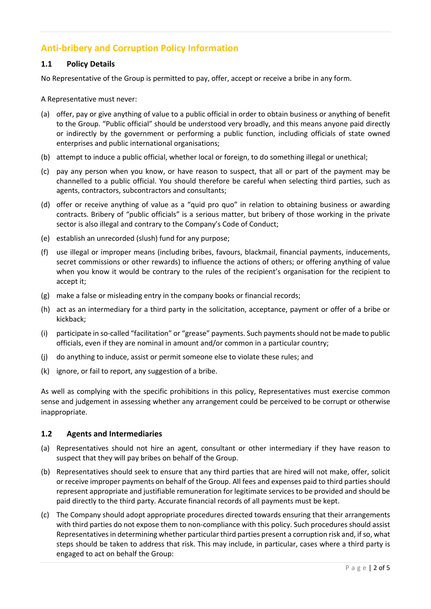# **Anti-bribery and Corruption Policy Information**

#### **1.1 Policy Details**

No Representative of the Group is permitted to pay, offer, accept or receive a bribe in any form.

A Representative must never:

- (a) offer, pay or give anything of value to a public official in order to obtain business or anything of benefit to the Group. "Public official" should be understood very broadly, and this means anyone paid directly or indirectly by the government or performing a public function, including officials of state owned enterprises and public international organisations;
- (b) attempt to induce a public official, whether local or foreign, to do something illegal or unethical;
- (c) pay any person when you know, or have reason to suspect, that all or part of the payment may be channelled to a public official. You should therefore be careful when selecting third parties, such as agents, contractors, subcontractors and consultants;
- (d) offer or receive anything of value as a "quid pro quo" in relation to obtaining business or awarding contracts. Bribery of "public officials" is a serious matter, but bribery of those working in the private sector is also illegal and contrary to the Company's Code of Conduct;
- (e) establish an unrecorded (slush) fund for any purpose;
- (f) use illegal or improper means (including bribes, favours, blackmail, financial payments, inducements, secret commissions or other rewards) to influence the actions of others; or offering anything of value when you know it would be contrary to the rules of the recipient's organisation for the recipient to accept it;
- (g) make a false or misleading entry in the company books or financial records;
- (h) act as an intermediary for a third party in the solicitation, acceptance, payment or offer of a bribe or kickback;
- (i) participate in so-called "facilitation" or "grease" payments. Such payments should not be made to public officials, even if they are nominal in amount and/or common in a particular country;
- (j) do anything to induce, assist or permit someone else to violate these rules; and
- (k) ignore, or fail to report, any suggestion of a bribe.

As well as complying with the specific prohibitions in this policy, Representatives must exercise common sense and judgement in assessing whether any arrangement could be perceived to be corrupt or otherwise inappropriate.

#### **1.2 Agents and Intermediaries**

- (a) Representatives should not hire an agent, consultant or other intermediary if they have reason to suspect that they will pay bribes on behalf of the Group.
- (b) Representatives should seek to ensure that any third parties that are hired will not make, offer, solicit or receive improper payments on behalf of the Group. All fees and expenses paid to third parties should represent appropriate and justifiable remuneration for legitimate services to be provided and should be paid directly to the third party. Accurate financial records of all payments must be kept.
- (c) The Company should adopt appropriate procedures directed towards ensuring that their arrangements with third parties do not expose them to non-compliance with this policy. Such procedures should assist Representatives in determining whether particular third parties present a corruption risk and, if so, what steps should be taken to address that risk. This may include, in particular, cases where a third party is engaged to act on behalf the Group: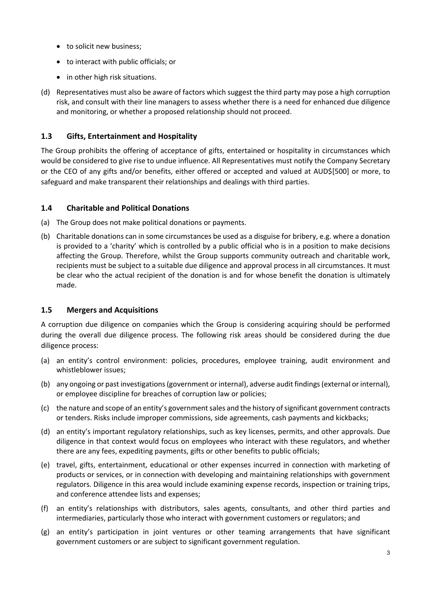- to solicit new business:
- to interact with public officials; or
- in other high risk situations.
- (d) Representatives must also be aware of factors which suggest the third party may pose a high corruption risk, and consult with their line managers to assess whether there is a need for enhanced due diligence and monitoring, or whether a proposed relationship should not proceed.

### **1.3 Gifts, Entertainment and Hospitality**

The Group prohibits the offering of acceptance of gifts, entertained or hospitality in circumstances which would be considered to give rise to undue influence. All Representatives must notify the Company Secretary or the CEO of any gifts and/or benefits, either offered or accepted and valued at AUD\$[500] or more, to safeguard and make transparent their relationships and dealings with third parties.

#### **1.4 Charitable and Political Donations**

- (a) The Group does not make political donations or payments.
- (b) Charitable donations can in some circumstances be used as a disguise for bribery, e.g. where a donation is provided to a 'charity' which is controlled by a public official who is in a position to make decisions affecting the Group. Therefore, whilst the Group supports community outreach and charitable work, recipients must be subject to a suitable due diligence and approval process in all circumstances. It must be clear who the actual recipient of the donation is and for whose benefit the donation is ultimately made.

## **1.5 Mergers and Acquisitions**

A corruption due diligence on companies which the Group is considering acquiring should be performed during the overall due diligence process. The following risk areas should be considered during the due diligence process:

- (a) an entity's control environment: policies, procedures, employee training, audit environment and whistleblower issues;
- (b) any ongoing or past investigations (government or internal), adverse audit findings (external or internal), or employee discipline for breaches of corruption law or policies;
- (c) the nature and scope of an entity's government sales and the history of significant government contracts or tenders. Risks include improper commissions, side agreements, cash payments and kickbacks;
- (d) an entity's important regulatory relationships, such as key licenses, permits, and other approvals. Due diligence in that context would focus on employees who interact with these regulators, and whether there are any fees, expediting payments, gifts or other benefits to public officials;
- (e) travel, gifts, entertainment, educational or other expenses incurred in connection with marketing of products or services, or in connection with developing and maintaining relationships with government regulators. Diligence in this area would include examining expense records, inspection or training trips, and conference attendee lists and expenses;
- (f) an entity's relationships with distributors, sales agents, consultants, and other third parties and intermediaries, particularly those who interact with government customers or regulators; and
- (g) an entity's participation in joint ventures or other teaming arrangements that have significant government customers or are subject to significant government regulation.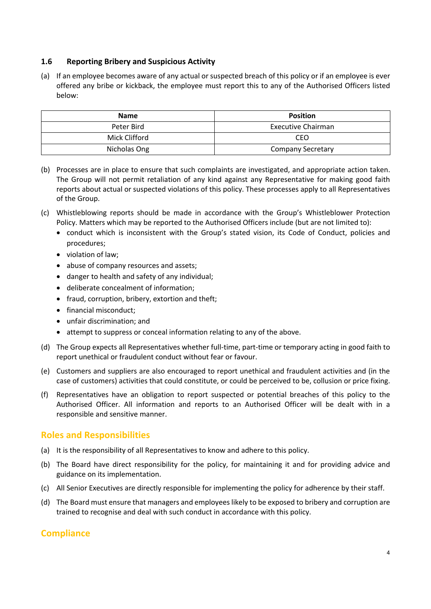#### **1.6 Reporting Bribery and Suspicious Activity**

(a) If an employee becomes aware of any actual or suspected breach of this policy or if an employee is ever offered any bribe or kickback, the employee must report this to any of the Authorised Officers listed below:

| <b>Name</b>   | <b>Position</b>           |
|---------------|---------------------------|
| Peter Bird    | <b>Executive Chairman</b> |
| Mick Clifford | CEO                       |
| Nicholas Ong  | <b>Company Secretary</b>  |

- (b) Processes are in place to ensure that such complaints are investigated, and appropriate action taken. The Group will not permit retaliation of any kind against any Representative for making good faith reports about actual or suspected violations of this policy. These processes apply to all Representatives of the Group.
- (c) Whistleblowing reports should be made in accordance with the Group's Whistleblower Protection Policy. Matters which may be reported to the Authorised Officers include (but are not limited to):
	- conduct which is inconsistent with the Group's stated vision, its Code of Conduct, policies and procedures;
	- violation of law;
	- abuse of company resources and assets;
	- danger to health and safety of any individual;
	- deliberate concealment of information;
	- fraud, corruption, bribery, extortion and theft;
	- financial misconduct:
	- unfair discrimination; and
	- attempt to suppress or conceal information relating to any of the above.
- (d) The Group expects all Representatives whether full-time, part-time or temporary acting in good faith to report unethical or fraudulent conduct without fear or favour.
- (e) Customers and suppliers are also encouraged to report unethical and fraudulent activities and (in the case of customers) activities that could constitute, or could be perceived to be, collusion or price fixing.
- (f) Representatives have an obligation to report suspected or potential breaches of this policy to the Authorised Officer. All information and reports to an Authorised Officer will be dealt with in a responsible and sensitive manner.

# **Roles and Responsibilities**

- (a) It is the responsibility of all Representatives to know and adhere to this policy.
- (b) The Board have direct responsibility for the policy, for maintaining it and for providing advice and guidance on its implementation.
- (c) All Senior Executives are directly responsible for implementing the policy for adherence by their staff.
- (d) The Board must ensure that managers and employees likely to be exposed to bribery and corruption are trained to recognise and deal with such conduct in accordance with this policy.

## **Compliance**